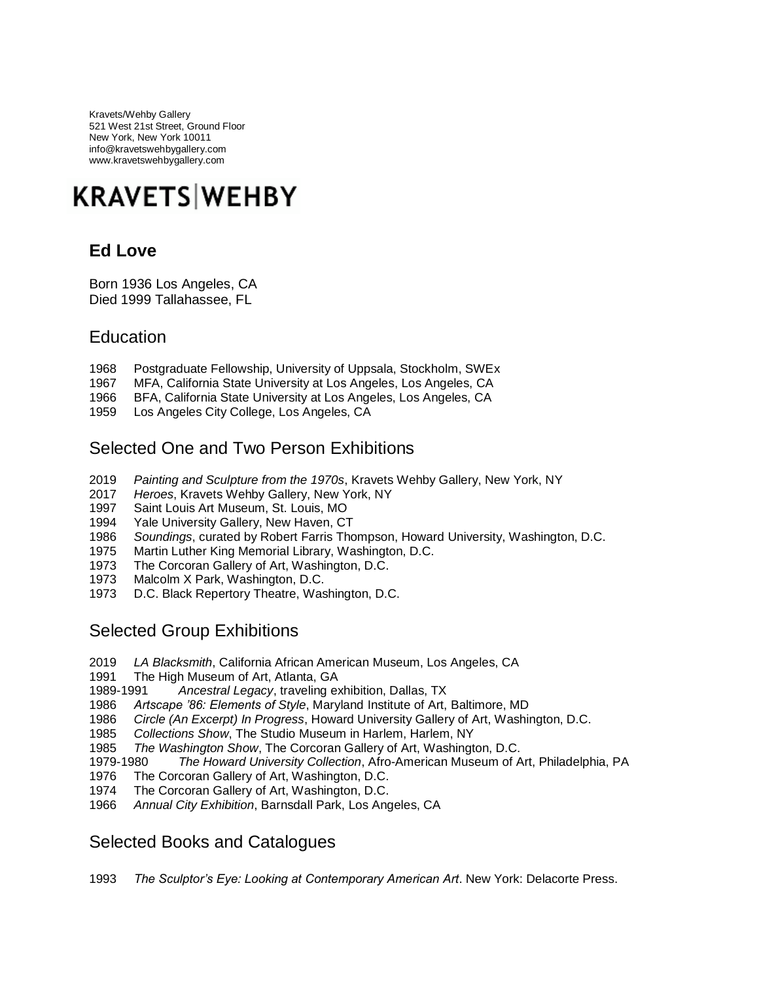Kravets/Wehby Gallery 521 West 21st Street, Ground Floor New York, New York 10011 info@kravetswehbygallery.com www.kravetswehbygallery.com

# **KRAVETS WEHBY**

## **Ed Love**

Born 1936 Los Angeles, CA Died 1999 Tallahassee, FL

### **Education**

- Postgraduate Fellowship, University of Uppsala, Stockholm, SWEx
- MFA, California State University at Los Angeles, Los Angeles, CA
- BFA, California State University at Los Angeles, Los Angeles, CA
- Los Angeles City College, Los Angeles, CA

#### Selected One and Two Person Exhibitions

- *Painting and Sculpture from the 1970s*, Kravets Wehby Gallery, New York, NY
- *Heroes*, Kravets Wehby Gallery, New York, NY
- Saint Louis Art Museum, St. Louis, MO
- Yale University Gallery, New Haven, CT
- *Soundings*, curated by Robert Farris Thompson, Howard University, Washington, D.C.
- Martin Luther King Memorial Library, Washington, D.C.
- The Corcoran Gallery of Art, Washington, D.C.
- Malcolm X Park, Washington, D.C.
- D.C. Black Repertory Theatre, Washington, D.C.

#### Selected Group Exhibitions

- *LA Blacksmith*, California African American Museum, Los Angeles, CA
- The High Museum of Art, Atlanta, GA
- 1989-1991 *Ancestral Legacy*, traveling exhibition, Dallas, TX
- *Artscape '86: Elements of Style*, Maryland Institute of Art, Baltimore, MD
- *Circle (An Excerpt) In Progress*, Howard University Gallery of Art, Washington, D.C.
- *Collections Show*, The Studio Museum in Harlem, Harlem, NY
- *The Washington Show*, The Corcoran Gallery of Art, Washington, D.C.
- 1979-1980 *The Howard University Collection*, Afro-American Museum of Art, Philadelphia, PA
- The Corcoran Gallery of Art, Washington, D.C.
- The Corcoran Gallery of Art, Washington, D.C.
- *Annual City Exhibition*, Barnsdall Park, Los Angeles, CA

#### Selected Books and Catalogues

*The Sculptor's Eye: Looking at Contemporary American Art*. New York: Delacorte Press.